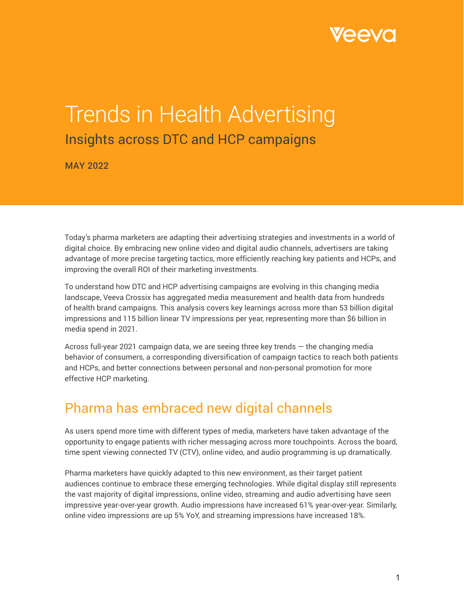

# Trends in Health Advertising Insights across DTC and HCP campaigns

MAY 2022

Today's pharma marketers are adapting their advertising strategies and investments in a world of digital choice. By embracing new online video and digital audio channels, advertisers are taking advantage of more precise targeting tactics, more efficiently reaching key patients and HCPs, and improving the overall ROI of their marketing investments.

To understand how DTC and HCP advertising campaigns are evolving in this changing media landscape, Veeva Crossix has aggregated media measurement and health data from hundreds of health brand campaigns. This analysis covers key learnings across more than 53 billion digital impressions and 115 billion linear TV impressions per year, representing more than \$6 billion in media spend in 2021.

Across full-year 2021 campaign data, we are seeing three key trends — the changing media behavior of consumers, a corresponding diversification of campaign tactics to reach both patients and HCPs, and better connections between personal and non-personal promotion for more effective HCP marketing.

### Pharma has embraced new digital channels

As users spend more time with different types of media, marketers have taken advantage of the opportunity to engage patients with richer messaging across more touchpoints. Across the board, time spent viewing connected TV (CTV), online video, and audio programming is up dramatically.

Pharma marketers have quickly adapted to this new environment, as their target patient audiences continue to embrace these emerging technologies. While digital display still represents the vast majority of digital impressions, online video, streaming and audio advertising have seen impressive year-over-year growth. Audio impressions have increased 61% year-over-year. Similarly, online video impressions are up 5% YoY, and streaming impressions have increased 18%.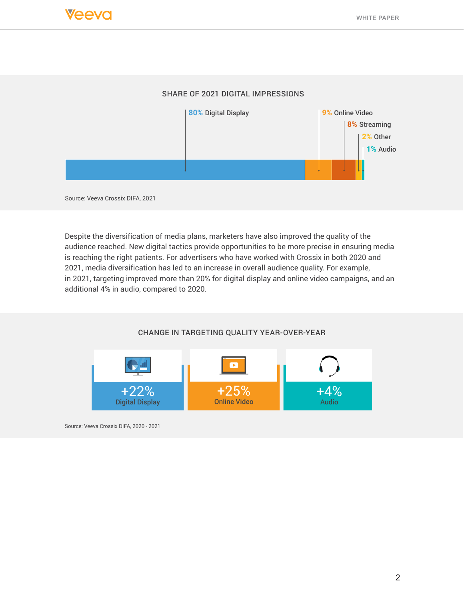#### SHARE OF 2021 DIGITAL IMPRESSIONS



Source: Veeva Crossix DIFA, 2021

Despite the diversification of media plans, marketers have also improved the quality of the audience reached. New digital tactics provide opportunities to be more precise in ensuring media is reaching the right patients. For advertisers who have worked with Crossix in both 2020 and 2021, media diversification has led to an increase in overall audience quality. For example, in 2021, targeting improved more than 20% for digital display and online video campaigns, and an additional 4% in audio, compared to 2020.





Source: Veeva Crossix DIFA, 2020 - 2021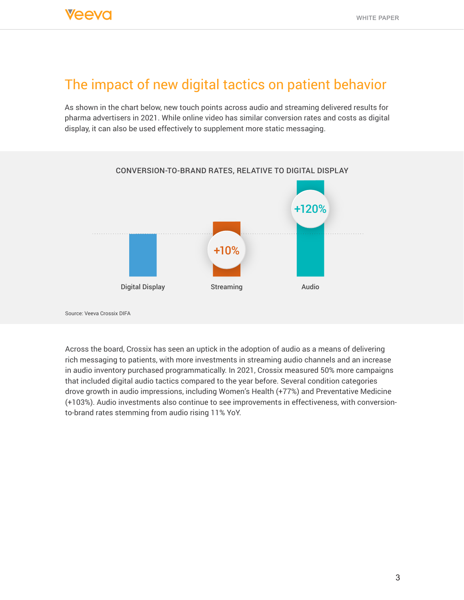### The impact of new digital tactics on patient behavior

As shown in the chart below, new touch points across audio and streaming delivered results for pharma advertisers in 2021. While online video has similar conversion rates and costs as digital display, it can also be used effectively to supplement more static messaging.



Source: Veeva Crossix DIFA

Across the board, Crossix has seen an uptick in the adoption of audio as a means of delivering rich messaging to patients, with more investments in streaming audio channels and an increase in audio inventory purchased programmatically. In 2021, Crossix measured 50% more campaigns that included digital audio tactics compared to the year before. Several condition categories drove growth in audio impressions, including Women's Health (+77%) and Preventative Medicine (+103%). Audio investments also continue to see improvements in effectiveness, with conversionto-brand rates stemming from audio rising 11% YoY.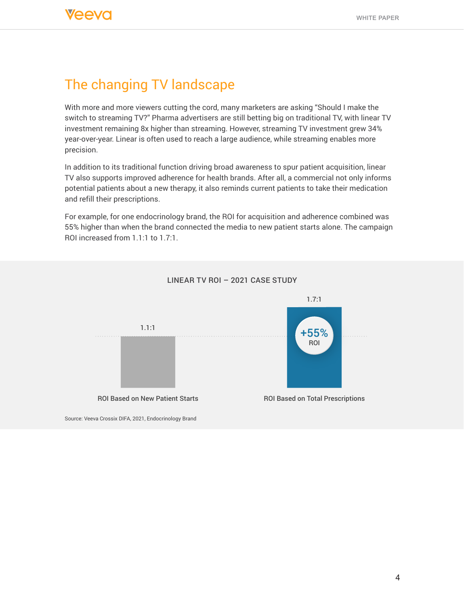### The changing TV landscape

With more and more viewers cutting the cord, many marketers are asking "Should I make the switch to streaming TV?" Pharma advertisers are still betting big on traditional TV, with linear TV investment remaining 8x higher than streaming. However, streaming TV investment grew 34% year-over-year. Linear is often used to reach a large audience, while streaming enables more precision.

In addition to its traditional function driving broad awareness to spur patient acquisition, linear TV also supports improved adherence for health brands. After all, a commercial not only informs potential patients about a new therapy, it also reminds current patients to take their medication and refill their prescriptions.

For example, for one endocrinology brand, the ROI for acquisition and adherence combined was 55% higher than when the brand connected the media to new patient starts alone. The campaign ROI increased from 1.1:1 to 1.7:1.



#### LINEAR TV ROI – 2021 CASE STUDY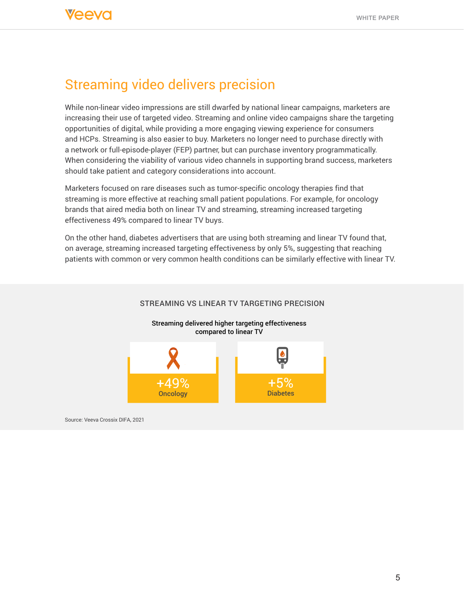### Streaming video delivers precision

While non-linear video impressions are still dwarfed by national linear campaigns, marketers are increasing their use of targeted video. Streaming and online video campaigns share the targeting opportunities of digital, while providing a more engaging viewing experience for consumers and HCPs. Streaming is also easier to buy. Marketers no longer need to purchase directly with a network or full-episode-player (FEP) partner, but can purchase inventory programmatically. When considering the viability of various video channels in supporting brand success, marketers should take patient and category considerations into account.

Marketers focused on rare diseases such as tumor-specific oncology therapies find that streaming is more effective at reaching small patient populations. For example, for oncology brands that aired media both on linear TV and streaming, streaming increased targeting effectiveness 49% compared to linear TV buys.

On the other hand, diabetes advertisers that are using both streaming and linear TV found that, on average, streaming increased targeting effectiveness by only 5%, suggesting that reaching patients with common or very common health conditions can be similarly effective with linear TV.

#### STREAMING VS LINEAR TV TARGETING PRECISION



Source: Veeva Crossix DIFA, 2021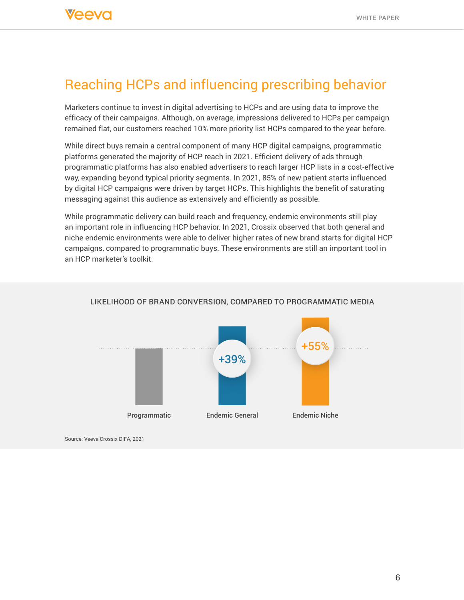## Reaching HCPs and influencing prescribing behavior

Marketers continue to invest in digital advertising to HCPs and are using data to improve the efficacy of their campaigns. Although, on average, impressions delivered to HCPs per campaign remained flat, our customers reached 10% more priority list HCPs compared to the year before.

While direct buys remain a central component of many HCP digital campaigns, programmatic platforms generated the majority of HCP reach in 2021. Efficient delivery of ads through programmatic platforms has also enabled advertisers to reach larger HCP lists in a cost-effective way, expanding beyond typical priority segments. In 2021, 85% of new patient starts influenced by digital HCP campaigns were driven by target HCPs. This highlights the benefit of saturating messaging against this audience as extensively and efficiently as possible.

While programmatic delivery can build reach and frequency, endemic environments still play an important role in influencing HCP behavior. In 2021, Crossix observed that both general and niche endemic environments were able to deliver higher rates of new brand starts for digital HCP campaigns, compared to programmatic buys. These environments are still an important tool in an HCP marketer's toolkit.



#### LIKELIHOOD OF BRAND CONVERSION, COMPARED TO PROGRAMMATIC MEDIA

Source: Veeva Crossix DIFA, 2021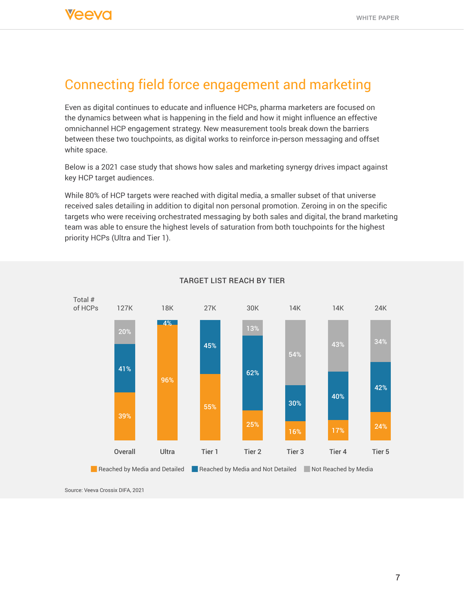### Connecting field force engagement and marketing

Even as digital continues to educate and influence HCPs, pharma marketers are focused on the dynamics between what is happening in the field and how it might influence an effective omnichannel HCP engagement strategy. New measurement tools break down the barriers between these two touchpoints, as digital works to reinforce in-person messaging and offset white space.

Below is a 2021 case study that shows how sales and marketing synergy drives impact against key HCP target audiences.

While 80% of HCP targets were reached with digital media, a smaller subset of that universe received sales detailing in addition to digital non personal promotion. Zeroing in on the specific targets who were receiving orchestrated messaging by both sales and digital, the brand marketing team was able to ensure the highest levels of saturation from both touchpoints for the highest priority HCPs (Ultra and Tier 1).



#### TARGET LIST REACH BY TIER

Source: Veeva Crossix DIFA, 2021